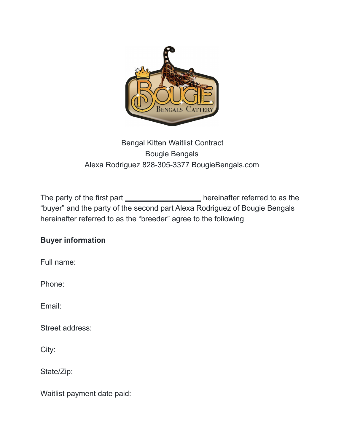

## Bengal Kitten Waitlist Contract Bougie Bengals Alexa Rodriguez 828-305-3377 BougieBengals.com

The party of the first part \_\_\_\_\_\_\_\_\_\_\_\_\_\_\_\_\_\_\_\_\_\_\_\_\_ hereinafter referred to as the "buyer" and the party of the second part Alexa Rodriguez of Bougie Bengals hereinafter referred to as the "breeder" agree to the following

## **Buyer information**

Full name:

Phone:

Email:

Street address:

City:

State/Zip:

Waitlist payment date paid: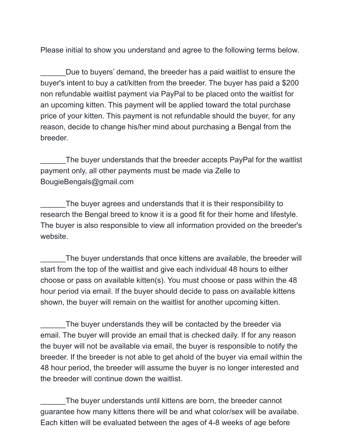Please initial to show you understand and agree to the following terms below.

Due to buyers' demand, the breeder has a paid waitlist to ensure the buyer's intent to buy a cat/kitten from the breeder. The buyer has paid a \$200 non refundable waitlist payment via PayPal to be placed onto the waitlist for an upcoming kitten. This payment will be applied toward the total purchase price of your kitten. This payment is not refundable should the buyer, for any reason, decide to change his/her mind about purchasing a Bengal from the breeder.

The buyer understands that the breeder accepts PayPal for the waitlist payment only, all other payments must be made via Zelle to BougieBengals@gmail.com

The buyer agrees and understands that it is their responsibility to research the Bengal breed to know it is a good fit for their home and lifestyle. The buyer is also responsible to view all information provided on the breeder's website.

The buyer understands that once kittens are available, the breeder will start from the top of the waitlist and give each individual 48 hours to either choose or pass on available kitten(s). You must choose or pass within the 48 hour period via email. If the buyer should decide to pass on available kittens shown, the buyer will remain on the waitlist for another upcoming kitten.

The buyer understands they will be contacted by the breeder via email. The buyer will provide an email that is checked daily. If for any reason the buyer will not be available via email, the buyer is responsible to notify the breeder. If the breeder is not able to get ahold of the buyer via email within the 48 hour period, the breeder will assume the buyer is no longer interested and the breeder will continue down the waitlist.

The buyer understands until kittens are born, the breeder cannot guarantee how many kittens there will be and what color/sex will be availabe. Each kitten will be evaluated between the ages of 4-8 weeks of age before